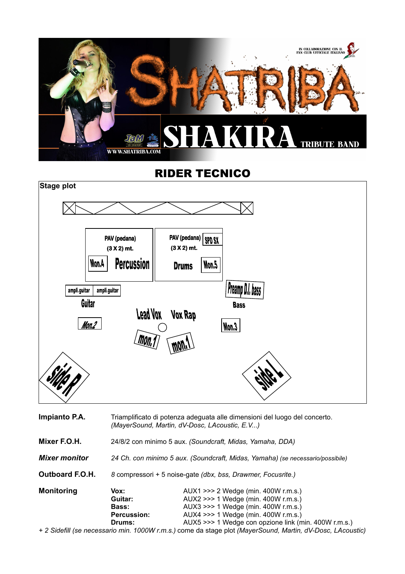

## RIDER TECNICO



| Impianto P.A.          | Triamplificato di potenza adeguata alle dimensioni del luogo del concerto.<br>(MayerSound, Martin, dV-Dosc, LAcoustic, E.V) |                                                                                                                                                                                                                  |  |
|------------------------|-----------------------------------------------------------------------------------------------------------------------------|------------------------------------------------------------------------------------------------------------------------------------------------------------------------------------------------------------------|--|
| Mixer F.O.H.           | 24/8/2 con minimo 5 aux. (Soundcraft, Midas, Yamaha, DDA)                                                                   |                                                                                                                                                                                                                  |  |
| <b>Mixer monitor</b>   | 24 Ch. con minimo 5 aux. (Soundcraft, Midas, Yamaha) (se necessario/possibile)                                              |                                                                                                                                                                                                                  |  |
| <b>Outboard F.O.H.</b> | 8 compressori + 5 noise-gate (dbx, bss, Drawmer, Focusrite.)                                                                |                                                                                                                                                                                                                  |  |
| <b>Monitoring</b>      | Vox:<br>Guitar:<br><b>Bass:</b><br><b>Percussion:</b><br>Drums:                                                             | AUX1 >>> 2 Wedge (min. 400W r.m.s.)<br>AUX2 >>> 1 Wedge (min. 400W r.m.s.)<br>AUX3 >>> 1 Wedge (min. 400W r.m.s.)<br>AUX4 >>> 1 Wedge (min. 400W r.m.s.)<br>AUX5 >>> 1 Wedge con opzione link (min. 400W r.m.s.) |  |
|                        |                                                                                                                             | + 2 Sidefill (se necessario min, 1000W r.m.s.) come da stage plot (MaverSound, Martin, dV-Dosc, LAcou                                                                                                            |  |

*+ 2 Sidefill (se necessario min. 1000W r.m.s.)* come da stage plot *(MayerSound, Martin, dV-Dosc, LAcoustic)*